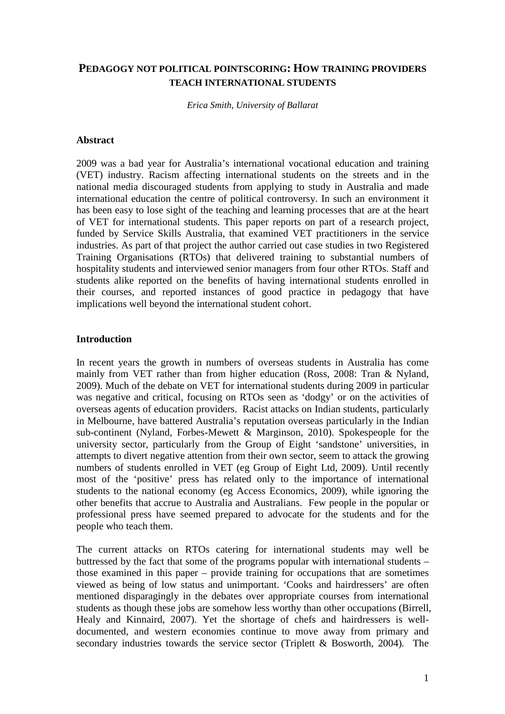# **PEDAGOGY NOT POLITICAL POINTSCORING: HOW TRAINING PROVIDERS TEACH INTERNATIONAL STUDENTS**

*Erica Smith, University of Ballarat* 

#### **Abstract**

2009 was a bad year for Australia's international vocational education and training (VET) industry. Racism affecting international students on the streets and in the national media discouraged students from applying to study in Australia and made international education the centre of political controversy. In such an environment it has been easy to lose sight of the teaching and learning processes that are at the heart of VET for international students. This paper reports on part of a research project, funded by Service Skills Australia, that examined VET practitioners in the service industries. As part of that project the author carried out case studies in two Registered Training Organisations (RTOs) that delivered training to substantial numbers of hospitality students and interviewed senior managers from four other RTOs. Staff and students alike reported on the benefits of having international students enrolled in their courses, and reported instances of good practice in pedagogy that have implications well beyond the international student cohort.

#### **Introduction**

In recent years the growth in numbers of overseas students in Australia has come mainly from VET rather than from higher education (Ross, 2008: Tran & Nyland, 2009). Much of the debate on VET for international students during 2009 in particular was negative and critical, focusing on RTOs seen as 'dodgy' or on the activities of overseas agents of education providers. Racist attacks on Indian students, particularly in Melbourne, have battered Australia's reputation overseas particularly in the Indian sub-continent (Nyland, Forbes-Mewett  $\&$  Marginson, 2010). Spokespeople for the university sector, particularly from the Group of Eight 'sandstone' universities, in attempts to divert negative attention from their own sector, seem to attack the growing numbers of students enrolled in VET (eg Group of Eight Ltd, 2009). Until recently most of the 'positive' press has related only to the importance of international students to the national economy (eg Access Economics, 2009), while ignoring the other benefits that accrue to Australia and Australians. Few people in the popular or professional press have seemed prepared to advocate for the students and for the people who teach them.

The current attacks on RTOs catering for international students may well be buttressed by the fact that some of the programs popular with international students – those examined in this paper – provide training for occupations that are sometimes viewed as being of low status and unimportant. 'Cooks and hairdressers' are often mentioned disparagingly in the debates over appropriate courses from international students as though these jobs are somehow less worthy than other occupations (Birrell, Healy and Kinnaird, 2007). Yet the shortage of chefs and hairdressers is welldocumented, and western economies continue to move away from primary and secondary industries towards the service sector (Triplett & Bosworth, 2004)*.* The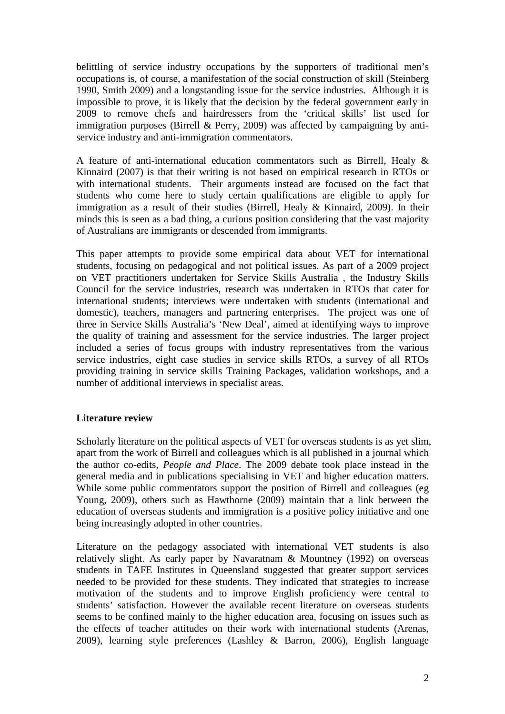belittling of service industry occupations by the supporters of traditional men's occupations is, of course, a manifestation of the social construction of skill (Steinberg 1990, Smith 2009) and a longstanding issue for the service industries. Although it is impossible to prove, it is likely that the decision by the federal government early in 2009 to remove chefs and hairdressers from the 'critical skills' list used for immigration purposes (Birrell & Perry, 2009) was affected by campaigning by antiservice industry and anti-immigration commentators.

A feature of anti-international education commentators such as Birrell, Healy & Kinnaird (2007) is that their writing is not based on empirical research in RTOs or with international students. Their arguments instead are focused on the fact that students who come here to study certain qualifications are eligible to apply for immigration as a result of their studies (Birrell, Healy & Kinnaird, 2009). In their minds this is seen as a bad thing, a curious position considering that the vast majority of Australians are immigrants or descended from immigrants.

This paper attempts to provide some empirical data about VET for international students, focusing on pedagogical and not political issues. As part of a 2009 project on VET practitioners undertaken for Service Skills Australia , the Industry Skills Council for the service industries, research was undertaken in RTOs that cater for international students; interviews were undertaken with students (international and domestic), teachers, managers and partnering enterprises. The project was one of three in Service Skills Australia's 'New Deal', aimed at identifying ways to improve the quality of training and assessment for the service industries. The larger project included a series of focus groups with industry representatives from the various service industries, eight case studies in service skills RTOs, a survey of all RTOs providing training in service skills Training Packages, validation workshops, and a number of additional interviews in specialist areas.

## **Literature review**

Scholarly literature on the political aspects of VET for overseas students is as yet slim, apart from the work of Birrell and colleagues which is all published in a journal which the author co-edits, *People and Place*. The 2009 debate took place instead in the general media and in publications specialising in VET and higher education matters. While some public commentators support the position of Birrell and colleagues (eg Young, 2009), others such as Hawthorne (2009) maintain that a link between the education of overseas students and immigration is a positive policy initiative and one being increasingly adopted in other countries.

Literature on the pedagogy associated with international VET students is also relatively slight. As early paper by Navaratnam & Mountney (1992) on overseas students in TAFE Institutes in Queensland suggested that greater support services needed to be provided for these students. They indicated that strategies to increase motivation of the students and to improve English proficiency were central to students' satisfaction. However the available recent literature on overseas students seems to be confined mainly to the higher education area, focusing on issues such as the effects of teacher attitudes on their work with international students (Arenas, 2009), learning style preferences (Lashley & Barron, 2006), English language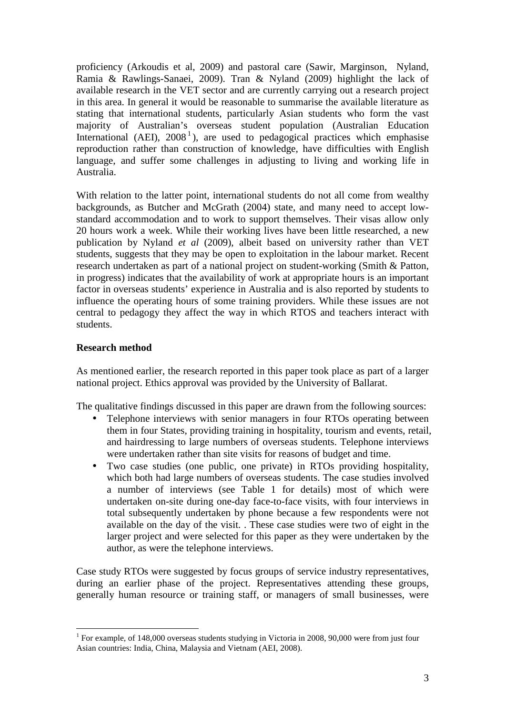proficiency (Arkoudis et al, 2009) and pastoral care (Sawir, Marginson, Nyland, Ramia & Rawlings-Sanaei, 2009). Tran & Nyland (2009) highlight the lack of available research in the VET sector and are currently carrying out a research project in this area. In general it would be reasonable to summarise the available literature as stating that international students, particularly Asian students who form the vast majority of Australian's overseas student population (Australian Education International (AEI),  $2008<sup>1</sup>$ ), are used to pedagogical practices which emphasise reproduction rather than construction of knowledge, have difficulties with English language, and suffer some challenges in adjusting to living and working life in Australia.

With relation to the latter point, international students do not all come from wealthy backgrounds, as Butcher and McGrath (2004) state, and many need to accept lowstandard accommodation and to work to support themselves. Their visas allow only 20 hours work a week. While their working lives have been little researched, a new publication by Nyland *et al* (2009), albeit based on university rather than VET students, suggests that they may be open to exploitation in the labour market. Recent research undertaken as part of a national project on student-working (Smith & Patton, in progress) indicates that the availability of work at appropriate hours is an important factor in overseas students' experience in Australia and is also reported by students to influence the operating hours of some training providers. While these issues are not central to pedagogy they affect the way in which RTOS and teachers interact with students.

### **Research method**

As mentioned earlier, the research reported in this paper took place as part of a larger national project. Ethics approval was provided by the University of Ballarat.

The qualitative findings discussed in this paper are drawn from the following sources:

- Telephone interviews with senior managers in four RTOs operating between them in four States, providing training in hospitality, tourism and events, retail, and hairdressing to large numbers of overseas students. Telephone interviews were undertaken rather than site visits for reasons of budget and time.
- Two case studies (one public, one private) in RTOs providing hospitality, which both had large numbers of overseas students. The case studies involved a number of interviews (see Table 1 for details) most of which were undertaken on-site during one-day face-to-face visits, with four interviews in total subsequently undertaken by phone because a few respondents were not available on the day of the visit. . These case studies were two of eight in the larger project and were selected for this paper as they were undertaken by the author, as were the telephone interviews.

Case study RTOs were suggested by focus groups of service industry representatives, during an earlier phase of the project. Representatives attending these groups, generally human resource or training staff, or managers of small businesses, were

 $\overline{a}$ <sup>1</sup> For example, of 148,000 overseas students studying in Victoria in 2008, 90,000 were from just four Asian countries: India, China, Malaysia and Vietnam (AEI, 2008).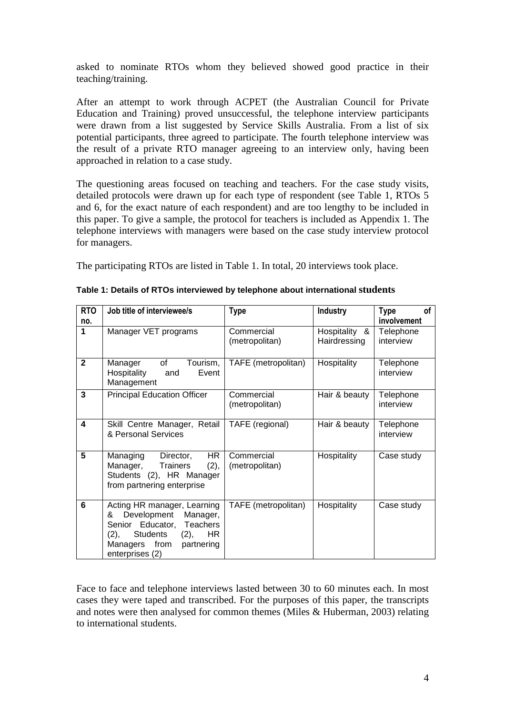asked to nominate RTOs whom they believed showed good practice in their teaching/training.

After an attempt to work through ACPET (the Australian Council for Private Education and Training) proved unsuccessful, the telephone interview participants were drawn from a list suggested by Service Skills Australia. From a list of six potential participants, three agreed to participate. The fourth telephone interview was the result of a private RTO manager agreeing to an interview only, having been approached in relation to a case study.

The questioning areas focused on teaching and teachers. For the case study visits, detailed protocols were drawn up for each type of respondent (see Table 1, RTOs 5 and 6, for the exact nature of each respondent) and are too lengthy to be included in this paper. To give a sample, the protocol for teachers is included as Appendix 1. The telephone interviews with managers were based on the case study interview protocol for managers.

The participating RTOs are listed in Table 1. In total, 20 interviews took place.

| <b>RTO</b>   | Job title of interviewee/s                                                                                                                                                             | <b>Type</b>                  | <b>Industry</b>               | <b>Type</b><br>οf      |
|--------------|----------------------------------------------------------------------------------------------------------------------------------------------------------------------------------------|------------------------------|-------------------------------|------------------------|
| no.          |                                                                                                                                                                                        |                              |                               | involvement            |
| 1            | Manager VET programs                                                                                                                                                                   | Commercial<br>(metropolitan) | Hospitality &<br>Hairdressing | Telephone<br>interview |
| $\mathbf{2}$ | of<br>Tourism,<br>Manager<br>Hospitality<br>Event<br>and<br>Management                                                                                                                 | TAFE (metropolitan)          | Hospitality                   | Telephone<br>interview |
| 3            | <b>Principal Education Officer</b>                                                                                                                                                     | Commercial<br>(metropolitan) | Hair & beauty                 | Telephone<br>interview |
| 4            | Skill Centre Manager, Retail<br>& Personal Services                                                                                                                                    | TAFE (regional)              | Hair & beauty                 | Telephone<br>interview |
| 5            | HR.<br>Managing<br>Director,<br>(2),<br><b>Trainers</b><br>Manager,<br>Students (2), HR Manager<br>from partnering enterprise                                                          | Commercial<br>(metropolitan) | Hospitality                   | Case study             |
| 6            | Acting HR manager, Learning<br>Development<br>Manager,<br>&<br>Senior Educator,<br>Teachers<br><b>HR</b><br>Students<br>(2),<br>(2),<br>Managers from<br>partnering<br>enterprises (2) | TAFE (metropolitan)          | Hospitality                   | Case study             |

Face to face and telephone interviews lasted between 30 to 60 minutes each. In most cases they were taped and transcribed. For the purposes of this paper, the transcripts and notes were then analysed for common themes (Miles & Huberman, 2003) relating to international students.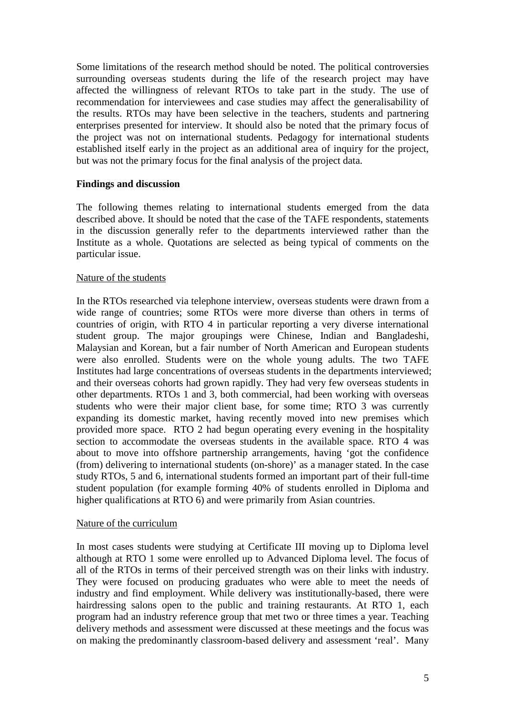Some limitations of the research method should be noted. The political controversies surrounding overseas students during the life of the research project may have affected the willingness of relevant RTOs to take part in the study. The use of recommendation for interviewees and case studies may affect the generalisability of the results. RTOs may have been selective in the teachers, students and partnering enterprises presented for interview. It should also be noted that the primary focus of the project was not on international students. Pedagogy for international students established itself early in the project as an additional area of inquiry for the project, but was not the primary focus for the final analysis of the project data.

### **Findings and discussion**

The following themes relating to international students emerged from the data described above. It should be noted that the case of the TAFE respondents, statements in the discussion generally refer to the departments interviewed rather than the Institute as a whole. Quotations are selected as being typical of comments on the particular issue.

### Nature of the students

In the RTOs researched via telephone interview, overseas students were drawn from a wide range of countries; some RTOs were more diverse than others in terms of countries of origin, with RTO 4 in particular reporting a very diverse international student group. The major groupings were Chinese, Indian and Bangladeshi, Malaysian and Korean, but a fair number of North American and European students were also enrolled. Students were on the whole young adults. The two TAFE Institutes had large concentrations of overseas students in the departments interviewed; and their overseas cohorts had grown rapidly. They had very few overseas students in other departments. RTOs 1 and 3, both commercial, had been working with overseas students who were their major client base, for some time; RTO 3 was currently expanding its domestic market, having recently moved into new premises which provided more space. RTO 2 had begun operating every evening in the hospitality section to accommodate the overseas students in the available space. RTO 4 was about to move into offshore partnership arrangements, having 'got the confidence (from) delivering to international students (on-shore)' as a manager stated. In the case study RTOs, 5 and 6, international students formed an important part of their full-time student population (for example forming 40% of students enrolled in Diploma and higher qualifications at RTO 6) and were primarily from Asian countries.

### Nature of the curriculum

In most cases students were studying at Certificate III moving up to Diploma level although at RTO 1 some were enrolled up to Advanced Diploma level. The focus of all of the RTOs in terms of their perceived strength was on their links with industry. They were focused on producing graduates who were able to meet the needs of industry and find employment. While delivery was institutionally-based, there were hairdressing salons open to the public and training restaurants. At RTO 1, each program had an industry reference group that met two or three times a year. Teaching delivery methods and assessment were discussed at these meetings and the focus was on making the predominantly classroom-based delivery and assessment 'real'. Many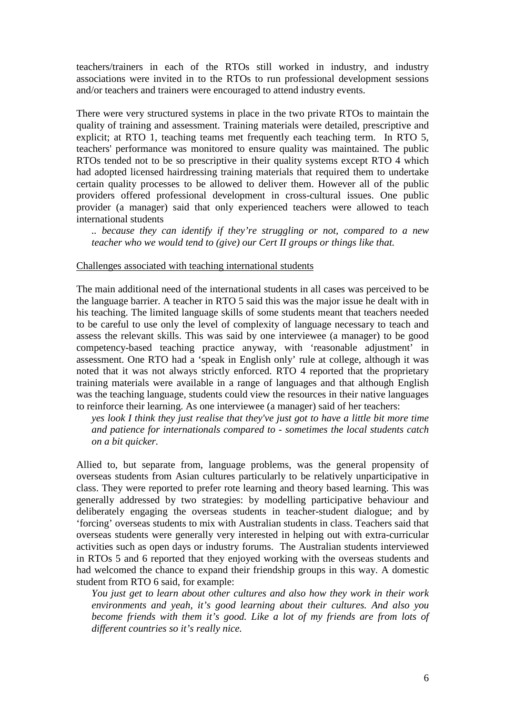teachers/trainers in each of the RTOs still worked in industry, and industry associations were invited in to the RTOs to run professional development sessions and/or teachers and trainers were encouraged to attend industry events.

There were very structured systems in place in the two private RTOs to maintain the quality of training and assessment. Training materials were detailed, prescriptive and explicit; at RTO 1, teaching teams met frequently each teaching term. In RTO 5, teachers' performance was monitored to ensure quality was maintained. The public RTOs tended not to be so prescriptive in their quality systems except RTO 4 which had adopted licensed hairdressing training materials that required them to undertake certain quality processes to be allowed to deliver them. However all of the public providers offered professional development in cross-cultural issues. One public provider (a manager) said that only experienced teachers were allowed to teach international students

*.. because they can identify if they're struggling or not, compared to a new teacher who we would tend to (give) our Cert II groups or things like that.* 

#### Challenges associated with teaching international students

The main additional need of the international students in all cases was perceived to be the language barrier. A teacher in RTO 5 said this was the major issue he dealt with in his teaching. The limited language skills of some students meant that teachers needed to be careful to use only the level of complexity of language necessary to teach and assess the relevant skills. This was said by one interviewee (a manager) to be good competency-based teaching practice anyway, with 'reasonable adjustment' in assessment. One RTO had a 'speak in English only' rule at college, although it was noted that it was not always strictly enforced. RTO 4 reported that the proprietary training materials were available in a range of languages and that although English was the teaching language, students could view the resources in their native languages to reinforce their learning. As one interviewee (a manager) said of her teachers:

*yes look I think they just realise that they've just got to have a little bit more time and patience for internationals compared to - sometimes the local students catch on a bit quicker.* 

Allied to, but separate from, language problems, was the general propensity of overseas students from Asian cultures particularly to be relatively unparticipative in class. They were reported to prefer rote learning and theory based learning. This was generally addressed by two strategies: by modelling participative behaviour and deliberately engaging the overseas students in teacher-student dialogue; and by 'forcing' overseas students to mix with Australian students in class. Teachers said that overseas students were generally very interested in helping out with extra-curricular activities such as open days or industry forums. The Australian students interviewed in RTOs 5 and 6 reported that they enjoyed working with the overseas students and had welcomed the chance to expand their friendship groups in this way. A domestic student from RTO 6 said, for example:

*You just get to learn about other cultures and also how they work in their work environments and yeah, it's good learning about their cultures. And also you become friends with them it's good. Like a lot of my friends are from lots of different countries so it's really nice.*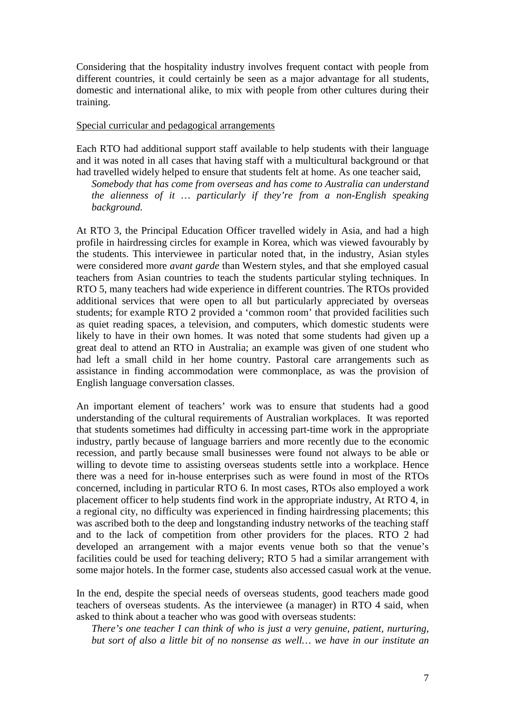Considering that the hospitality industry involves frequent contact with people from different countries, it could certainly be seen as a major advantage for all students, domestic and international alike, to mix with people from other cultures during their training.

#### Special curricular and pedagogical arrangements

Each RTO had additional support staff available to help students with their language and it was noted in all cases that having staff with a multicultural background or that had travelled widely helped to ensure that students felt at home. As one teacher said,

*Somebody that has come from overseas and has come to Australia can understand the alienness of it … particularly if they're from a non-English speaking background.* 

At RTO 3, the Principal Education Officer travelled widely in Asia, and had a high profile in hairdressing circles for example in Korea, which was viewed favourably by the students. This interviewee in particular noted that, in the industry, Asian styles were considered more *avant garde* than Western styles, and that she employed casual teachers from Asian countries to teach the students particular styling techniques. In RTO 5, many teachers had wide experience in different countries. The RTOs provided additional services that were open to all but particularly appreciated by overseas students; for example RTO 2 provided a 'common room' that provided facilities such as quiet reading spaces, a television, and computers, which domestic students were likely to have in their own homes. It was noted that some students had given up a great deal to attend an RTO in Australia; an example was given of one student who had left a small child in her home country. Pastoral care arrangements such as assistance in finding accommodation were commonplace, as was the provision of English language conversation classes.

An important element of teachers' work was to ensure that students had a good understanding of the cultural requirements of Australian workplaces. It was reported that students sometimes had difficulty in accessing part-time work in the appropriate industry, partly because of language barriers and more recently due to the economic recession, and partly because small businesses were found not always to be able or willing to devote time to assisting overseas students settle into a workplace. Hence there was a need for in-house enterprises such as were found in most of the RTOs concerned, including in particular RTO 6. In most cases, RTOs also employed a work placement officer to help students find work in the appropriate industry, At RTO 4, in a regional city, no difficulty was experienced in finding hairdressing placements; this was ascribed both to the deep and longstanding industry networks of the teaching staff and to the lack of competition from other providers for the places. RTO 2 had developed an arrangement with a major events venue both so that the venue's facilities could be used for teaching delivery; RTO 5 had a similar arrangement with some major hotels. In the former case, students also accessed casual work at the venue.

In the end, despite the special needs of overseas students, good teachers made good teachers of overseas students. As the interviewee (a manager) in RTO 4 said, when asked to think about a teacher who was good with overseas students:

*There's one teacher I can think of who is just a very genuine, patient, nurturing, but sort of also a little bit of no nonsense as well… we have in our institute an*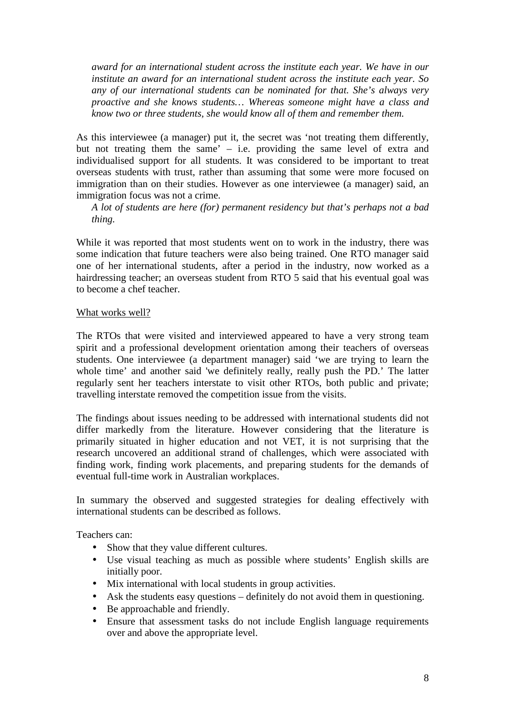*award for an international student across the institute each year. We have in our institute an award for an international student across the institute each year. So any of our international students can be nominated for that. She's always very proactive and she knows students… Whereas someone might have a class and know two or three students, she would know all of them and remember them.* 

As this interviewee (a manager) put it, the secret was 'not treating them differently, but not treating them the same' – i.e. providing the same level of extra and individualised support for all students. It was considered to be important to treat overseas students with trust, rather than assuming that some were more focused on immigration than on their studies. However as one interviewee (a manager) said, an immigration focus was not a crime.

*A lot of students are here (for) permanent residency but that's perhaps not a bad thing.* 

While it was reported that most students went on to work in the industry, there was some indication that future teachers were also being trained. One RTO manager said one of her international students, after a period in the industry, now worked as a hairdressing teacher; an overseas student from RTO 5 said that his eventual goal was to become a chef teacher.

### What works well?

The RTOs that were visited and interviewed appeared to have a very strong team spirit and a professional development orientation among their teachers of overseas students. One interviewee (a department manager) said 'we are trying to learn the whole time' and another said 'we definitely really, really push the PD.' The latter regularly sent her teachers interstate to visit other RTOs, both public and private; travelling interstate removed the competition issue from the visits.

The findings about issues needing to be addressed with international students did not differ markedly from the literature. However considering that the literature is primarily situated in higher education and not VET, it is not surprising that the research uncovered an additional strand of challenges, which were associated with finding work, finding work placements, and preparing students for the demands of eventual full-time work in Australian workplaces.

In summary the observed and suggested strategies for dealing effectively with international students can be described as follows.

Teachers can:

- Show that they value different cultures.
- Use visual teaching as much as possible where students' English skills are initially poor.
- Mix international with local students in group activities.
- Ask the students easy questions definitely do not avoid them in questioning.
- Be approachable and friendly.
- Ensure that assessment tasks do not include English language requirements over and above the appropriate level.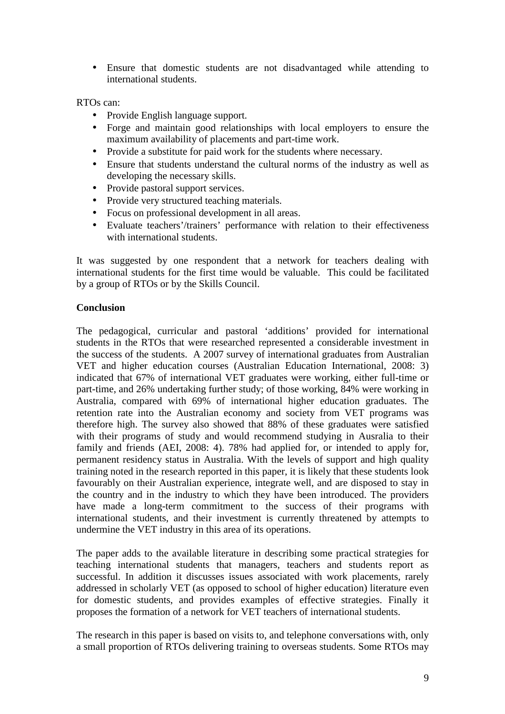• Ensure that domestic students are not disadvantaged while attending to international students.

### RTOs can:

- Provide English language support.
- Forge and maintain good relationships with local employers to ensure the maximum availability of placements and part-time work.
- Provide a substitute for paid work for the students where necessary.
- Ensure that students understand the cultural norms of the industry as well as developing the necessary skills.
- Provide pastoral support services.
- Provide very structured teaching materials.
- Focus on professional development in all areas.
- Evaluate teachers'/trainers' performance with relation to their effectiveness with international students.

It was suggested by one respondent that a network for teachers dealing with international students for the first time would be valuable. This could be facilitated by a group of RTOs or by the Skills Council.

### **Conclusion**

The pedagogical, curricular and pastoral 'additions' provided for international students in the RTOs that were researched represented a considerable investment in the success of the students. A 2007 survey of international graduates from Australian VET and higher education courses (Australian Education International, 2008: 3) indicated that 67% of international VET graduates were working, either full-time or part-time, and 26% undertaking further study; of those working, 84% were working in Australia, compared with 69% of international higher education graduates. The retention rate into the Australian economy and society from VET programs was therefore high. The survey also showed that 88% of these graduates were satisfied with their programs of study and would recommend studying in Ausralia to their family and friends (AEI, 2008: 4). 78% had applied for, or intended to apply for, permanent residency status in Australia. With the levels of support and high quality training noted in the research reported in this paper, it is likely that these students look favourably on their Australian experience, integrate well, and are disposed to stay in the country and in the industry to which they have been introduced. The providers have made a long-term commitment to the success of their programs with international students, and their investment is currently threatened by attempts to undermine the VET industry in this area of its operations.

The paper adds to the available literature in describing some practical strategies for teaching international students that managers, teachers and students report as successful. In addition it discusses issues associated with work placements, rarely addressed in scholarly VET (as opposed to school of higher education) literature even for domestic students, and provides examples of effective strategies. Finally it proposes the formation of a network for VET teachers of international students.

The research in this paper is based on visits to, and telephone conversations with, only a small proportion of RTOs delivering training to overseas students. Some RTOs may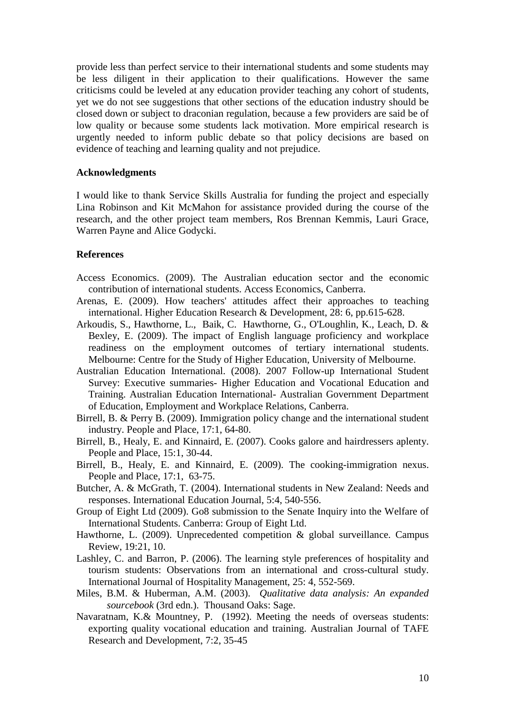provide less than perfect service to their international students and some students may be less diligent in their application to their qualifications. However the same criticisms could be leveled at any education provider teaching any cohort of students, yet we do not see suggestions that other sections of the education industry should be closed down or subject to draconian regulation, because a few providers are said be of low quality or because some students lack motivation. More empirical research is urgently needed to inform public debate so that policy decisions are based on evidence of teaching and learning quality and not prejudice.

#### **Acknowledgments**

I would like to thank Service Skills Australia for funding the project and especially Lina Robinson and Kit McMahon for assistance provided during the course of the research, and the other project team members, Ros Brennan Kemmis, Lauri Grace, Warren Payne and Alice Godycki.

#### **References**

- Access Economics. (2009). The Australian education sector and the economic contribution of international students. Access Economics, Canberra.
- Arenas, E. (2009). How teachers' attitudes affect their approaches to teaching international. Higher Education Research & Development, 28: 6, pp.615-628.
- Arkoudis, S., Hawthorne, L., Baik, C. Hawthorne, G., O'Loughlin, K., Leach, D. & Bexley, E. (2009). The impact of English language proficiency and workplace readiness on the employment outcomes of tertiary international students. Melbourne: Centre for the Study of Higher Education, University of Melbourne.
- Australian Education International. (2008). 2007 Follow-up International Student Survey: Executive summaries- Higher Education and Vocational Education and Training. Australian Education International- Australian Government Department of Education, Employment and Workplace Relations, Canberra.
- Birrell, B. & Perry B. (2009). Immigration policy change and the international student industry. People and Place, 17:1, 64-80.
- Birrell, B., Healy, E. and Kinnaird, E. (2007). Cooks galore and hairdressers aplenty. People and Place, 15:1, 30-44.
- Birrell, B., Healy, E. and Kinnaird, E. (2009). The cooking-immigration nexus. People and Place, 17:1, 63-75.
- Butcher, A. & McGrath, T. (2004). International students in New Zealand: Needs and responses. International Education Journal, 5:4, 540-556.
- Group of Eight Ltd (2009). Go8 submission to the Senate Inquiry into the Welfare of International Students. Canberra: Group of Eight Ltd.
- Hawthorne, L. (2009). Unprecedented competition & global surveillance. Campus Review, 19:21, 10.
- Lashley, C. and Barron, P. (2006). The learning style preferences of hospitality and tourism students: Observations from an international and cross-cultural study. International Journal of Hospitality Management, 25: 4, 552-569.
- Miles, B.M. & Huberman, A.M. (2003). *Qualitative data analysis: An expanded sourcebook* (3rd edn.). Thousand Oaks: Sage.
- Navaratnam, K.& Mountney, P. (1992). Meeting the needs of overseas students: exporting quality vocational education and training. Australian Journal of TAFE Research and Development, 7:2, 35-45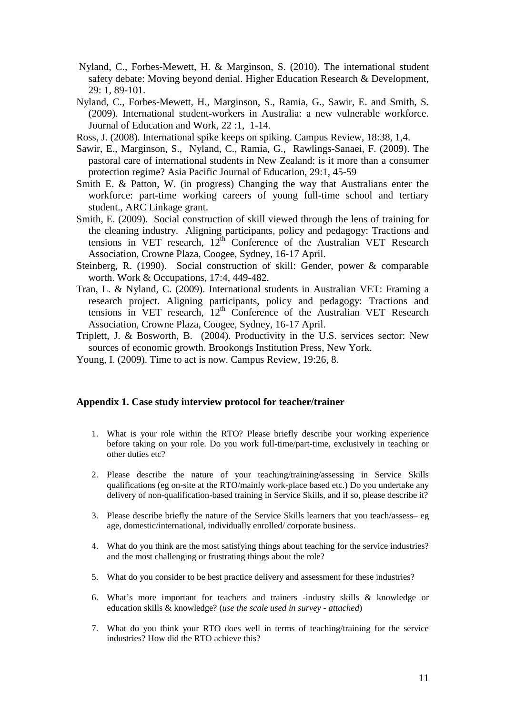- Nyland, C., Forbes-Mewett, H. & Marginson, S. (2010). The international student safety debate: Moving beyond denial. Higher Education Research & Development, 29: 1, 89-101.
- Nyland, C., Forbes-Mewett, H., Marginson, S., Ramia, G., Sawir, E. and Smith, S. (2009). International student-workers in Australia: a new vulnerable workforce. Journal of Education and Work, 22 :1, 1-14.

Ross, J. (2008). International spike keeps on spiking. Campus Review, 18:38, 1,4.

- Sawir, E., Marginson, S., Nyland, C., Ramia, G., Rawlings-Sanaei, F. (2009). The pastoral care of international students in New Zealand: is it more than a consumer protection regime? Asia Pacific Journal of Education, 29:1, 45-59
- Smith E. & Patton, W. (in progress) Changing the way that Australians enter the workforce: part-time working careers of young full-time school and tertiary student., ARC Linkage grant.
- Smith, E. (2009). Social construction of skill viewed through the lens of training for the cleaning industry. Aligning participants, policy and pedagogy: Tractions and tensions in VET research, 12<sup>th</sup> Conference of the Australian VET Research Association, Crowne Plaza, Coogee, Sydney, 16-17 April.
- Steinberg, R. (1990). Social construction of skill: Gender, power & comparable worth. Work & Occupations, 17:4, 449-482.
- Tran, L. & Nyland, C. (2009). International students in Australian VET: Framing a research project. Aligning participants, policy and pedagogy: Tractions and tensions in VET research,  $12<sup>th</sup>$  Conference of the Australian VET Research Association, Crowne Plaza, Coogee, Sydney, 16-17 April.
- Triplett, J. & Bosworth, B. (2004). Productivity in the U.S. services sector: New sources of economic growth. Brookongs Institution Press, New York.
- Young, I. (2009). Time to act is now. Campus Review, 19:26, 8.

#### **Appendix 1. Case study interview protocol for teacher/trainer**

- 1. What is your role within the RTO? Please briefly describe your working experience before taking on your role. Do you work full-time/part-time, exclusively in teaching or other duties etc?
- 2. Please describe the nature of your teaching/training/assessing in Service Skills qualifications (eg on-site at the RTO/mainly work-place based etc.) Do you undertake any delivery of non-qualification-based training in Service Skills, and if so, please describe it?
- 3. Please describe briefly the nature of the Service Skills learners that you teach/assess– eg age, domestic/international, individually enrolled/ corporate business.
- 4. What do you think are the most satisfying things about teaching for the service industries? and the most challenging or frustrating things about the role?
- 5. What do you consider to be best practice delivery and assessment for these industries?
- 6. What's more important for teachers and trainers -industry skills & knowledge or education skills & knowledge? (*use the scale used in survey - attached*)
- 7. What do you think your RTO does well in terms of teaching/training for the service industries? How did the RTO achieve this?